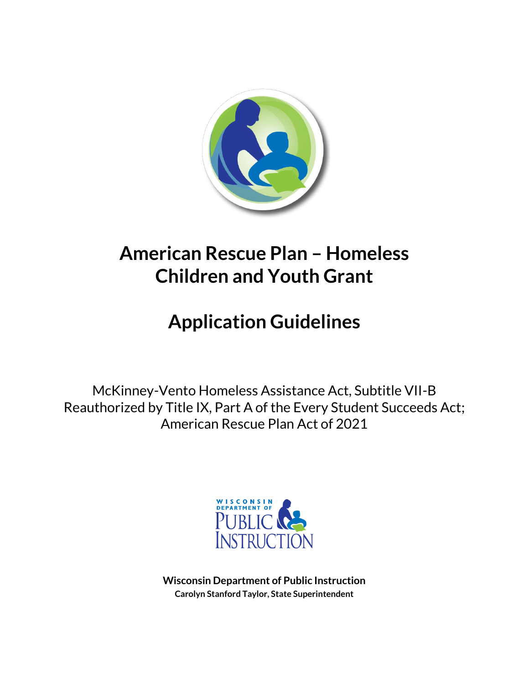

## **American Rescue Plan – Homeless Children and Youth Grant**

# **Application Guidelines**

McKinney-Vento Homeless Assistance Act, Subtitle VII-B Reauthorized by Title IX, Part A of the Every Student Succeeds Act; American Rescue Plan Act of 2021



**Wisconsin Department of Public Instruction Carolyn Stanford Taylor, State Superintendent**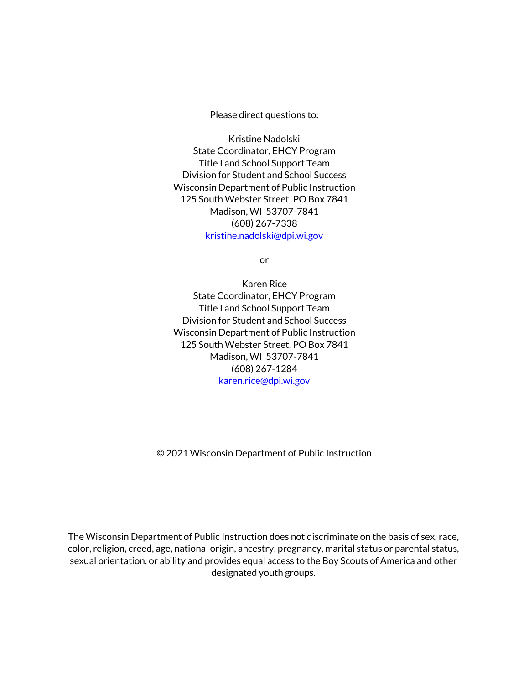Please direct questions to:

Kristine Nadolski State Coordinator, EHCY Program Title I and School Support Team Division for Student and School Success Wisconsin Department of Public Instruction 125 South Webster Street, PO Box 7841 Madison, WI 53707-7841 (608) 267-7338 [kristine.nadolski@dpi.wi.gov](mailto:kristine.nadolski@dpi.wi.gov)

or

Karen Rice State Coordinator, EHCY Program Title I and School Support Team Division for Student and School Success Wisconsin Department of Public Instruction 125 South Webster Street, PO Box 7841 Madison, WI 53707-7841 (608) 267-1284 [karen.rice@dpi.wi.gov](mailto:karen.rice@dpi.wi.gov)

© 2021 Wisconsin Department of Public Instruction

The Wisconsin Department of Public Instruction does not discriminate on the basis of sex, race, color, religion, creed, age, national origin, ancestry, pregnancy, marital status or parental status, sexual orientation, or ability and provides equal access to the Boy Scouts of America and other designated youth groups.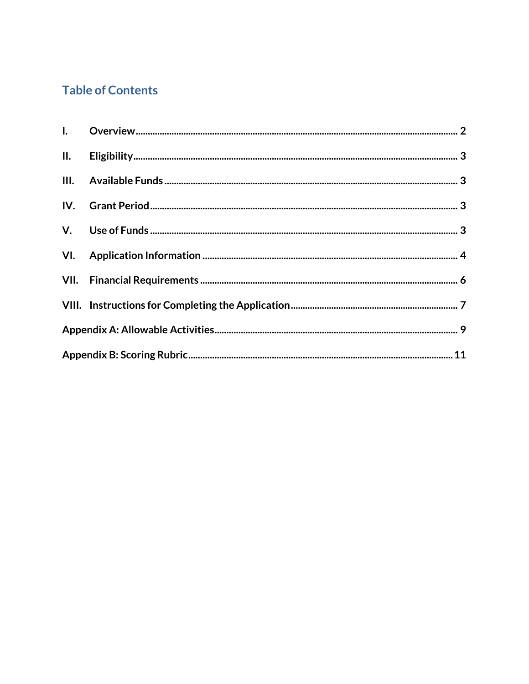### **Table of Contents**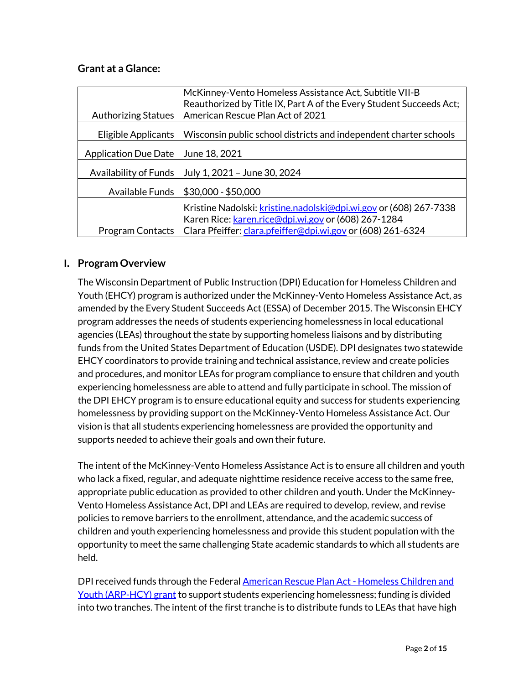#### <span id="page-3-0"></span>**Grant at a Glance:**

|                             | McKinney-Vento Homeless Assistance Act, Subtitle VII-B                                                                   |
|-----------------------------|--------------------------------------------------------------------------------------------------------------------------|
|                             | Reauthorized by Title IX, Part A of the Every Student Succeeds Act;                                                      |
| <b>Authorizing Statues</b>  | American Rescue Plan Act of 2021                                                                                         |
| Eligible Applicants         | Wisconsin public school districts and independent charter schools                                                        |
| <b>Application Due Date</b> | June 18, 2021                                                                                                            |
| Availability of Funds       | July 1, 2021 - June 30, 2024                                                                                             |
| Available Funds             | $$30,000 - $50,000$                                                                                                      |
|                             | Kristine Nadolski: kristine.nadolski@dpi.wi.gov or (608) 267-7338<br>Karen Rice: karen.rice@dpi.wi.gov or (608) 267-1284 |
| <b>Program Contacts</b>     | Clara Pfeiffer: clara.pfeiffer@dpi.wi.gov or (608) 261-6324                                                              |

#### **I. Program Overview**

The Wisconsin Department of Public Instruction (DPI) Education for Homeless Children and Youth (EHCY) program is authorized under the McKinney-Vento Homeless Assistance Act, as amended by the Every Student Succeeds Act (ESSA) of December 2015. The Wisconsin EHCY program addresses the needs of students experiencing homelessness in local educational agencies (LEAs) throughout the state by supporting homeless liaisons and by distributing funds from the United States Department of Education (USDE). DPI designates two statewide EHCY coordinators to provide training and technical assistance, review and create policies and procedures, and monitor LEAs for program compliance to ensure that children and youth experiencing homelessness are able to attend and fully participate in school. The mission of the DPI EHCY program is to ensure educational equity and success for students experiencing homelessness by providing support on the McKinney-Vento Homeless Assistance Act. Our vision is that all students experiencing homelessness are provided the opportunity and supports needed to achieve their goals and own their future.

The intent of the McKinney-Vento Homeless Assistance Act is to ensure all children and youth who lack a fixed, regular, and adequate nighttime residence receive access to the same free, appropriate public education as provided to other children and youth. Under the McKinney-Vento Homeless Assistance Act, DPI and LEAs are required to develop, review, and revise policies to remove barriers to the enrollment, attendance, and the academic success of children and youth experiencing homelessness and provide this student population with the opportunity to meet the same challenging State academic standards to which all students are held.

DPI received funds through the Federal [American Rescue Plan Act -](https://oese.ed.gov/offices/american-rescue-plan/american-rescue-plan-elementary-secondary-school-emergency-relief-homeless-children-youth-arp-hcy/) Homeless Children and [Youth \(ARP-HCY\) grant](https://oese.ed.gov/offices/american-rescue-plan/american-rescue-plan-elementary-secondary-school-emergency-relief-homeless-children-youth-arp-hcy/) to support students experiencing homelessness; funding is divided into two tranches. The intent of the first tranche is to distribute funds to LEAs that have high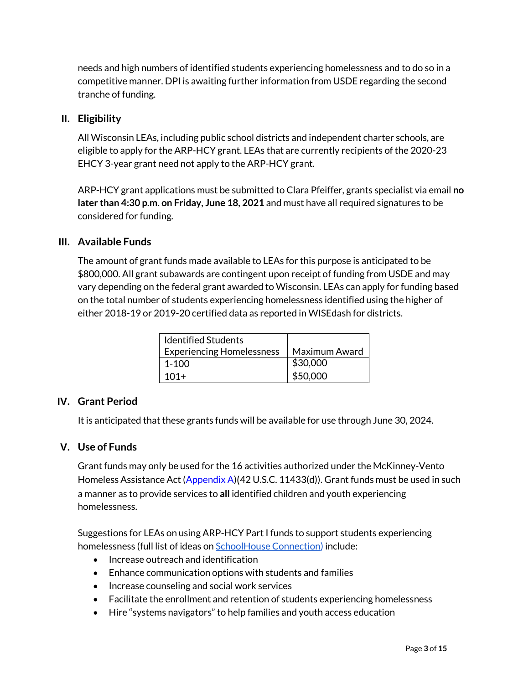needs and high numbers of identified students experiencing homelessness and to do so in a competitive manner. DPI is awaiting further information from USDE regarding the second tranche of funding.

#### <span id="page-4-0"></span>**II. Eligibility**

All Wisconsin LEAs, including public school districts and independent charter schools, are eligible to apply for the ARP-HCY grant. LEAs that are currently recipients of the 2020-23 EHCY 3-year grant need not apply to the ARP-HCY grant.

ARP-HCY grant applications must be submitted to Clara Pfeiffer, grants specialist via email **no later than 4:30 p.m. on Friday, June 18, 2021** and must have all required signatures to be considered for funding.

#### <span id="page-4-1"></span>**III. Available Funds**

The amount of grant funds made available to LEAs for this purpose is anticipated to be \$800,000. All grant subawards are contingent upon receipt of funding from USDE and may vary depending on the federal grant awarded to Wisconsin. LEAs can apply for funding based on the total number of students experiencing homelessness identified using the higher of either 2018-19 or 2019-20 certified data as reported in WISEdash for districts.

| <b>Identified Students</b>       |               |
|----------------------------------|---------------|
| <b>Experiencing Homelessness</b> | Maximum Award |
| $1 - 100$                        | \$30,000      |
| $101+$                           | \$50,000      |

#### <span id="page-4-2"></span>**IV. Grant Period**

It is anticipated that these grants funds will be available for use through June 30, 2024.

#### <span id="page-4-3"></span>**V. Use of Funds**

Grant funds may only be used for the 16 activities authorized under the McKinney-Vento Homeless Assistance Act [\(Appendix A\)](#page-10-0)(42 U.S.C. 11433(d)). Grant funds must be used in such a manner as to provide services to **all** identified children and youth experiencing homelessness.

Suggestions for LEAs on using ARP-HCY Part I funds to support students experiencing homelessness (full list of ideas o[n SchoolHouse Connection\)](https://schoolhouseconnection.org/how-to-use-arp-funds/) include:

- Increase outreach and identification
- Enhance communication options with students and families
- Increase counseling and social work services
- Facilitate the enrollment and retention of students experiencing homelessness
- Hire "systems navigators" to help families and youth access education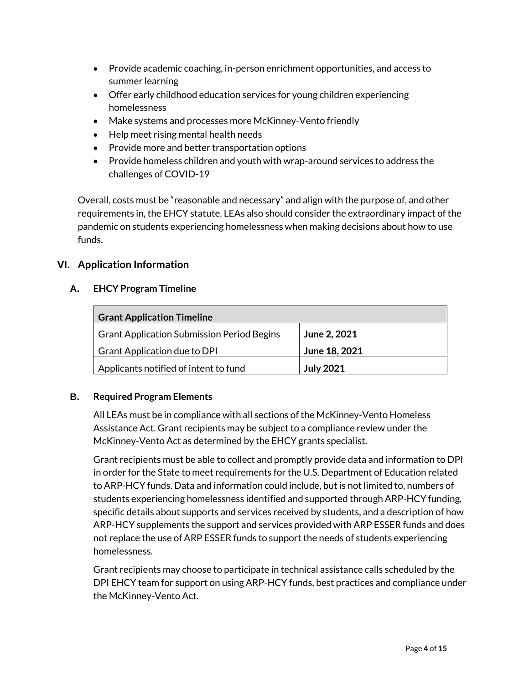- Provide academic coaching, in-person enrichment opportunities, and access to summer learning
- Offer early childhood education services for young children experiencing homelessness
- Make systems and processes more McKinney-Vento friendly
- Help meet rising mental health needs
- Provide more and better transportation options
- Provide homeless children and youth with wrap-around services to address the challenges of COVID-19

Overall, costs must be "reasonable and necessary" and align with the purpose of, and other requirements in, the EHCY statute. LEAs also should consider the extraordinary impact of the pandemic on students experiencing homelessness when making decisions about how to use funds.

#### <span id="page-5-0"></span>**VI. Application Information**

#### **A. EHCY Program Timeline**

| <b>Grant Application Timeline</b>                 |                  |  |  |
|---------------------------------------------------|------------------|--|--|
| <b>Grant Application Submission Period Begins</b> | June 2, 2021     |  |  |
| Grant Application due to DPI                      | June 18, 2021    |  |  |
| Applicants notified of intent to fund             | <b>July 2021</b> |  |  |

#### **B. Required Program Elements**

All LEAs must be in compliance with all sections of the McKinney-Vento Homeless Assistance Act. Grant recipients may be subject to a compliance review under the McKinney-Vento Act as determined by the EHCY grants specialist.

Grant recipients must be able to collect and promptly provide data and information to DPI in order for the State to meet requirements for the U.S. Department of Education related to ARP-HCY funds. Data and information could include, but is not limited to, numbers of students experiencing homelessness identified and supported through ARP-HCY funding, specific details about supports and services received by students, and a description of how ARP-HCY supplements the support and services provided with ARP ESSER funds and does not replace the use of ARP ESSER funds to support the needs of students experiencing homelessness.

Grant recipients may choose to participate in technical assistance calls scheduled by the DPI EHCY team for support on using ARP-HCY funds, best practices and compliance under the McKinney-Vento Act.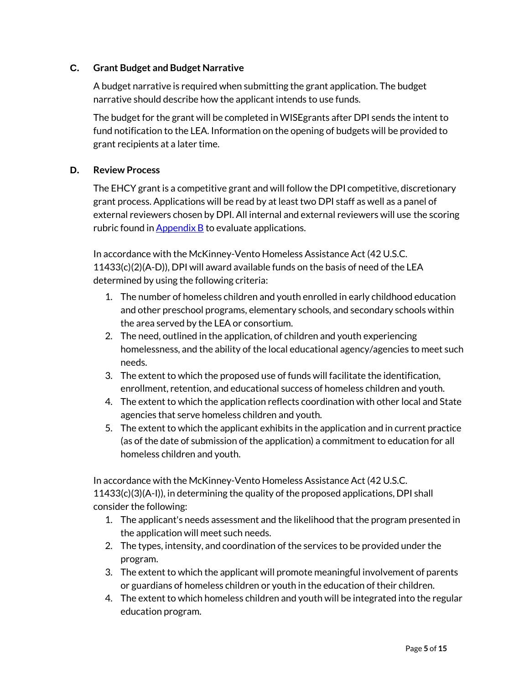#### **C. Grant Budget and Budget Narrative**

A budget narrative is required when submitting the grant application. The budget narrative should describe how the applicant intends to use funds.

The budget for the grant will be completed in WISEgrants after DPI sends the intent to fund notification to the LEA. Information on the opening of budgets will be provided to grant recipients at a later time.

#### **D. Review Process**

The EHCY grant is a competitive grant and will follow the DPI competitive, discretionary grant process. Applications will be read by at least two DPI staff as well as a panel of external reviewers chosen by DPI. All internal and external reviewers will use the scoring rubric found in  $\Delta$ ppendix  $\overline{B}$  to evaluate applications.

In accordance with the McKinney-Vento Homeless Assistance Act (42 U.S.C. 11433(c)(2)(A-D)), DPI will award available funds on the basis of need of the LEA determined by using the following criteria:

- 1. The number of homeless children and youth enrolled in early childhood education and other preschool programs, elementary schools, and secondary schools within the area served by the LEA or consortium.
- 2. The need, outlined in the application, of children and youth experiencing homelessness, and the ability of the local educational agency/agencies to meet such needs.
- 3. The extent to which the proposed use of funds will facilitate the identification, enrollment, retention, and educational success of homeless children and youth.
- 4. The extent to which the application reflects coordination with other local and State agencies that serve homeless children and youth.
- 5. The extent to which the applicant exhibits in the application and in current practice (as of the date of submission of the application) a commitment to education for all homeless children and youth.

In accordance with the McKinney-Vento Homeless Assistance Act (42 U.S.C. 11433(c)(3)(A-I)), in determining the quality of the proposed applications, DPI shall consider the following:

- 1. The applicant's needs assessment and the likelihood that the program presented in the application will meet such needs.
- 2. The types, intensity, and coordination of the services to be provided under the program.
- 3. The extent to which the applicant will promote meaningful involvement of parents or guardians of homeless children or youth in the education of their children.
- 4. The extent to which homeless children and youth will be integrated into the regular education program.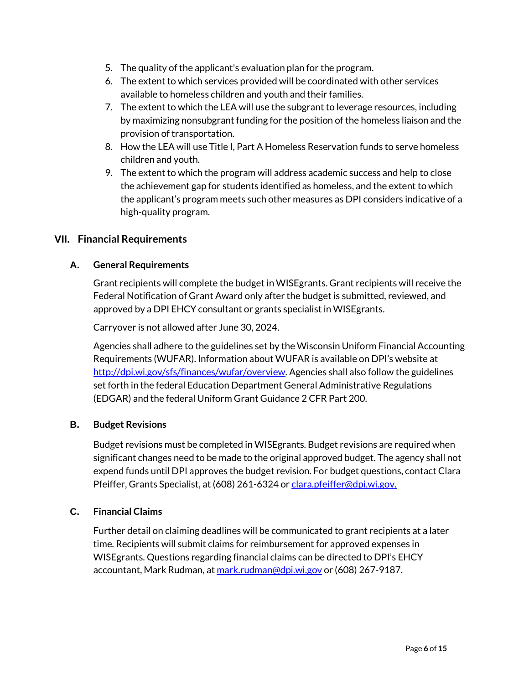- 5. The quality of the applicant's evaluation plan for the program.
- 6. The extent to which services provided will be coordinated with other services available to homeless children and youth and their families.
- 7. The extent to which the LEA will use the subgrant to leverage resources, including by maximizing nonsubgrant funding for the position of the homeless liaison and the provision of transportation.
- 8. How the LEA will use Title I, Part A Homeless Reservation funds to serve homeless children and youth.
- 9. The extent to which the program will address academic success and help to close the achievement gap for students identified as homeless, and the extent to which the applicant's program meets such other measures as DPI considers indicative of a high-quality program.

#### <span id="page-7-0"></span>**VII. Financial Requirements**

#### **A. General Requirements**

Grant recipients will complete the budget in WISEgrants. Grant recipients will receive the Federal Notification of Grant Award only after the budget is submitted, reviewed, and approved by a DPI EHCY consultant or grants specialist in WISEgrants.

Carryover is not allowed after June 30, 2024.

Agencies shall adhere to the guidelines set by the Wisconsin Uniform Financial Accounting Requirements (WUFAR). Information about WUFAR is available on DPI's website at [http://dpi.wi.gov/sfs/finances/wufar/overview.](http://dpi.wi.gov/sfs/finances/wufar/overview) Agencies shall also follow the guidelines set forth in the federal Education Department General Administrative Regulations (EDGAR) and the federal Uniform Grant Guidance 2 CFR Part 200.

#### **B. Budget Revisions**

Budget revisions must be completed in WISEgrants. Budget revisions are required when significant changes need to be made to the original approved budget. The agency shall not expend funds until DPI approves the budget revision. For budget questions, contact Clara Pfeiffer, Grants Specialist, at (608) 261-6324 o[r clara.pfeiffer@dpi.wi.gov.](mailto:clara.pfeiffer@dpi.wi.gov)

#### **C. Financial Claims**

Further detail on claiming deadlines will be communicated to grant recipients at a later time. Recipients will submit claims for reimbursement for approved expenses in WISEgrants. Questions regarding financial claims can be directed to DPI's EHCY accountant, Mark Rudman, at [mark.rudman@dpi.wi.gov](mailto:mark.rudman@dpi.wi.gov) or (608) 267-9187.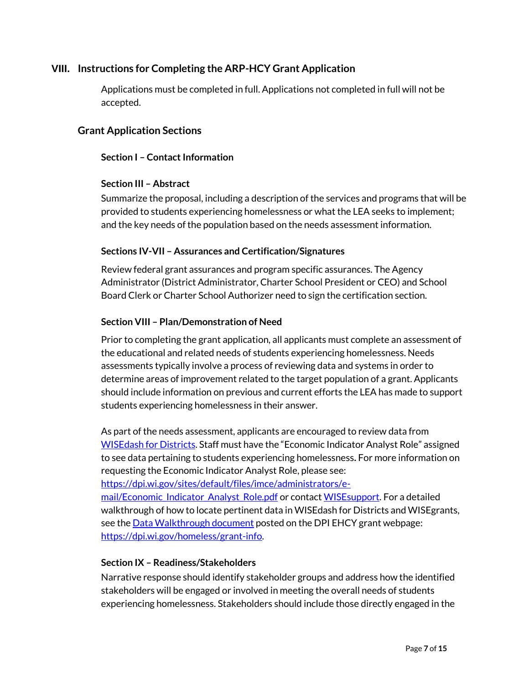#### <span id="page-8-0"></span>**VIII. Instructions for Completing the ARP-HCY Grant Application**

Applications must be completed in full. Applications not completed in full will not be accepted.

#### **Grant Application Sections**

#### **Section I – Contact Information**

#### **Section III – Abstract**

Summarize the proposal, including a description of the services and programs that will be provided to students experiencing homelessness or what the LEA seeks to implement; and the key needs of the population based on the needs assessment information.

#### **Sections IV-VII – Assurances and Certification/Signatures**

Review federal grant assurances and program specific assurances. The Agency Administrator (District Administrator, Charter School President or CEO) and School Board Clerk or Charter School Authorizer need to sign the certification section.

#### **Section VIII – Plan/Demonstration of Need**

Prior to completing the grant application, all applicants must complete an assessment of the educational and related needs of students experiencing homelessness. Needs assessments typically involve a process of reviewing data and systems in order to determine areas of improvement related to the target population of a grant. Applicants should include information on previous and current efforts the LEA has made to support students experiencing homelessness in their answer.

As part of the needs assessment, applicants are encouraged to review data from [WISEdash for Districts](https://dpi.wi.gov/wisedash/districts). Staff must have the "Economic Indicator Analyst Role" assigned to see data pertaining to students experiencing homelessness**.** For more information on requesting the Economic Indicator Analyst Role, please see: [https://dpi.wi.gov/sites/default/files/imce/administrators/e](https://dpi.wi.gov/sites/default/files/imce/administrators/e-mail/Economic_Indicator_Analyst_Role.pdf)[mail/Economic\\_Indicator\\_Analyst\\_Role.pdf](https://dpi.wi.gov/sites/default/files/imce/administrators/e-mail/Economic_Indicator_Analyst_Role.pdf) or contact [WISEsupport.](https://dpi.wi.gov/wisedata/help/request) For a detailed walkthrough of how to locate pertinent data in WISEdash for Districts and WISEgrants, see th[e Data Walkthrough document](https://dpi.wi.gov/sites/default/files/imce/homeless/pdf/2020-23_EHCY_Application-Data_Walkthrough.pdf) posted on the DPI EHCY grant webpage:

[https://dpi.wi.gov/homeless/grant-info.](https://dpi.wi.gov/homeless/grant-info)

#### **Section IX – Readiness/Stakeholders**

Narrative response should identify stakeholder groups and address how the identified stakeholders will be engaged or involved in meeting the overall needs of students experiencing homelessness. Stakeholders should include those directly engaged in the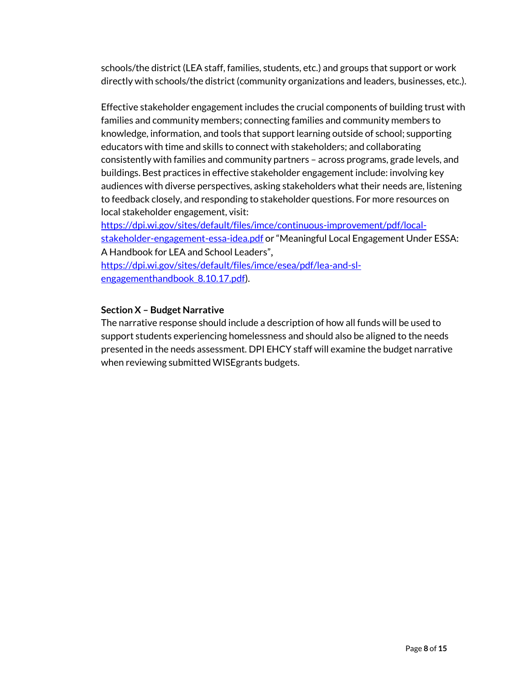schools/the district(LEA staff, families, students, etc.) and groups that support or work directly with schools/the district (community organizations and leaders, businesses, etc.).

Effective stakeholder engagement includes the crucial components of building trust with families and community members; connecting families and community members to knowledge, information, and tools that support learning outside of school; supporting educators with time and skills to connect with stakeholders; and collaborating consistently with families and community partners – across programs, grade levels, and buildings. Best practices in effective stakeholder engagement include: involving key audiences with diverse perspectives, asking stakeholders what their needs are, listening to feedback closely, and responding to stakeholder questions. For more resources on local stakeholder engagement, visit:

[https://dpi.wi.gov/sites/default/files/imce/continuous-improvement/pdf/local](https://dpi.wi.gov/sites/default/files/imce/continuous-improvement/pdf/local-stakeholder-engagement-essa-idea.pdf)[stakeholder-engagement-essa-idea.pdf](https://dpi.wi.gov/sites/default/files/imce/continuous-improvement/pdf/local-stakeholder-engagement-essa-idea.pdf) or "Meaningful Local Engagement Under ESSA: A Handbook for LEA and School Leaders",

[https://dpi.wi.gov/sites/default/files/imce/esea/pdf/lea-and-sl](https://dpi.wi.gov/sites/default/files/imce/esea/pdf/lea-and-sl-engagementhandbook_8.10.17.pdf)[engagementhandbook\\_8.10.17.pdf\)](https://dpi.wi.gov/sites/default/files/imce/esea/pdf/lea-and-sl-engagementhandbook_8.10.17.pdf).

#### **Section X – Budget Narrative**

The narrative response should include a description of how all funds will be used to support students experiencing homelessness and should also be aligned to the needs presented in the needs assessment. DPI EHCY staff will examine the budget narrative when reviewing submitted WISEgrants budgets.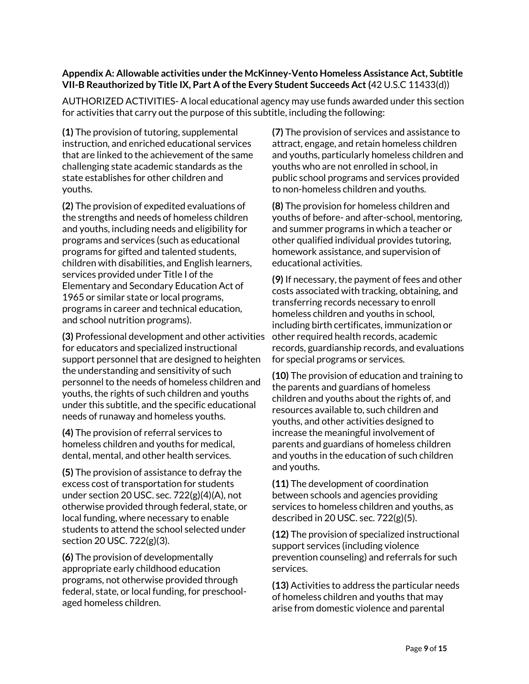#### <span id="page-10-0"></span>**Appendix A: Allowable activities under the McKinney-Vento Homeless Assistance Act, Subtitle VII-B Reauthorized by Title IX, Part A of the Every Student Succeeds Act (**42 U.S.C 11433(d))

AUTHORIZED ACTIVITIES- A local educational agency may use funds awarded under this section for activities that carry out the purpose of this subtitle, including the following:

**(1)** The provision of tutoring, supplemental instruction, and enriched educational services that are linked to the achievement of the same challenging state academic standards as the state establishes for other children and youths.

**(2)** The provision of expedited evaluations of the strengths and needs of homeless children and youths, including needs and eligibility for programs and services (such as educational programs for gifted and talented students, children with disabilities, and English learners, services provided under Title I of the Elementary and Secondary Education Act of 1965 or similar state or local programs, programs in career and technical education, and school nutrition programs).

**(3)** Professional development and other activities for educators and specialized instructional support personnel that are designed to heighten the understanding and sensitivity of such personnel to the needs of homeless children and youths, the rights of such children and youths under this subtitle, and the specific educational needs of runaway and homeless youths.

**(4)** The provision of referral services to homeless children and youths for medical, dental, mental, and other health services.

**(5)** The provision of assistance to defray the excess cost of transportation for students under section 20 USC. sec. 722(g)(4)(A), not otherwise provided through federal, state, or local funding, where necessary to enable students to attend the school selected under section 20 USC. 722(g)(3).

**(6)** The provision of developmentally appropriate early childhood education programs, not otherwise provided through federal, state, or local funding, for preschoolaged homeless children.

**(7)** The provision of services and assistance to attract, engage, and retain homeless children and youths, particularly homeless children and youths who are not enrolled in school, in public school programs and services provided to non-homeless children and youths.

**(8)** The provision for homeless children and youths of before- and after-school, mentoring, and summer programs in which a teacher or other qualified individual provides tutoring, homework assistance, and supervision of educational activities.

**(9)** If necessary, the payment of fees and other costs associated with tracking, obtaining, and transferring records necessary to enroll homeless children and youths in school, including birth certificates, immunization or other required health records, academic records, guardianship records, and evaluations for special programs or services.

**(10)** The provision of education and training to the parents and guardians of homeless children and youths about the rights of, and resources available to, such children and youths, and other activities designed to increase the meaningful involvement of parents and guardians of homeless children and youths in the education of such children and youths.

**(11)** The development of coordination between schools and agencies providing services to homeless children and youths, as described in 20 USC. sec. 722(g)(5).

**(12)** The provision of specialized instructional support services (including violence prevention counseling) and referrals for such services.

**(13)** Activities to address the particular needs of homeless children and youths that may arise from domestic violence and parental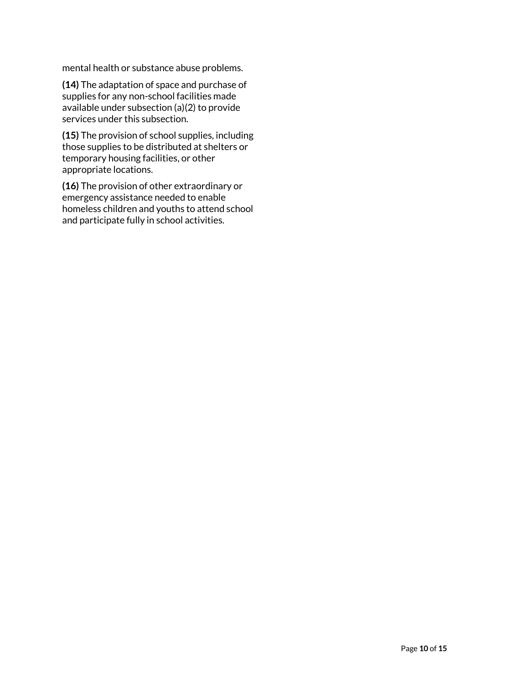mental health or substance abuse problems.

**(14)** The adaptation of space and purchase of supplies for any non-school facilities made available under subsection (a)(2) to provide services under this subsection.

**(15)** The provision of school supplies, including those supplies to be distributed at shelters or temporary housing facilities, or other appropriate locations.

**(16)** The provision of other extraordinary or emergency assistance needed to enable homeless children and youths to attend school and participate fully in school activities.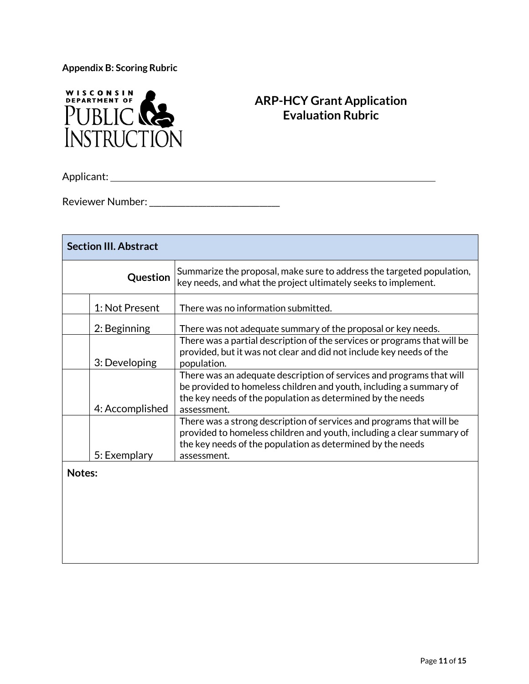<span id="page-12-0"></span>**Appendix B: Scoring Rubric**



### **ARP-HCY Grant Application Evaluation Rubric**

Applicant:

Reviewer Number: \_\_\_\_\_\_\_\_\_\_\_\_\_\_\_\_\_\_\_\_\_\_\_\_\_\_\_\_\_\_\_\_

| <b>Section III. Abstract</b> |                                                                                                                                                                                                                         |  |  |  |
|------------------------------|-------------------------------------------------------------------------------------------------------------------------------------------------------------------------------------------------------------------------|--|--|--|
| Question                     | Summarize the proposal, make sure to address the targeted population,<br>key needs, and what the project ultimately seeks to implement.                                                                                 |  |  |  |
| 1: Not Present               | There was no information submitted.                                                                                                                                                                                     |  |  |  |
| 2: Beginning                 | There was not adequate summary of the proposal or key needs.                                                                                                                                                            |  |  |  |
| 3: Developing                | There was a partial description of the services or programs that will be<br>provided, but it was not clear and did not include key needs of the<br>population.                                                          |  |  |  |
| 4: Accomplished              | There was an adequate description of services and programs that will<br>be provided to homeless children and youth, including a summary of<br>the key needs of the population as determined by the needs<br>assessment. |  |  |  |
|                              | There was a strong description of services and programs that will be<br>provided to homeless children and youth, including a clear summary of<br>the key needs of the population as determined by the needs             |  |  |  |
| 5: Exemplary<br>Notes:       | assessment.                                                                                                                                                                                                             |  |  |  |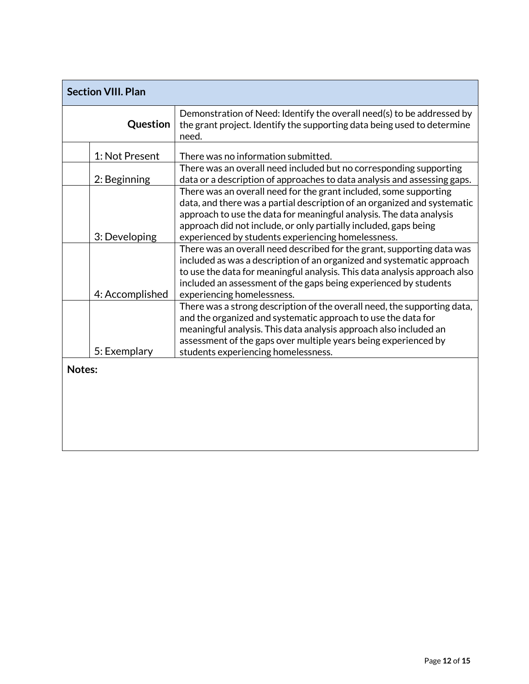| <b>Section VIII. Plan</b>                                                                                                                                                                                                                                                                                                                      |  |  |  |
|------------------------------------------------------------------------------------------------------------------------------------------------------------------------------------------------------------------------------------------------------------------------------------------------------------------------------------------------|--|--|--|
| Demonstration of Need: Identify the overall need(s) to be addressed by<br>the grant project. Identify the supporting data being used to determine<br>need.                                                                                                                                                                                     |  |  |  |
| There was no information submitted.                                                                                                                                                                                                                                                                                                            |  |  |  |
| There was an overall need included but no corresponding supporting<br>data or a description of approaches to data analysis and assessing gaps.                                                                                                                                                                                                 |  |  |  |
| There was an overall need for the grant included, some supporting<br>data, and there was a partial description of an organized and systematic<br>approach to use the data for meaningful analysis. The data analysis<br>approach did not include, or only partially included, gaps being<br>experienced by students experiencing homelessness. |  |  |  |
| There was an overall need described for the grant, supporting data was<br>included as was a description of an organized and systematic approach<br>to use the data for meaningful analysis. This data analysis approach also<br>included an assessment of the gaps being experienced by students<br>experiencing homelessness.                 |  |  |  |
| There was a strong description of the overall need, the supporting data,<br>and the organized and systematic approach to use the data for<br>meaningful analysis. This data analysis approach also included an<br>assessment of the gaps over multiple years being experienced by<br>students experiencing homelessness.                       |  |  |  |
|                                                                                                                                                                                                                                                                                                                                                |  |  |  |
|                                                                                                                                                                                                                                                                                                                                                |  |  |  |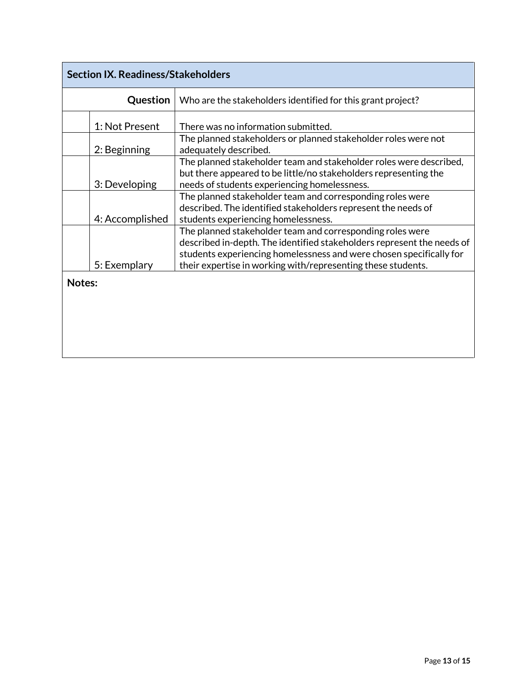| <b>Section IX. Readiness/Stakeholders</b> |                 |                                                                                                                                                                                                            |  |
|-------------------------------------------|-----------------|------------------------------------------------------------------------------------------------------------------------------------------------------------------------------------------------------------|--|
|                                           | Question        | Who are the stakeholders identified for this grant project?                                                                                                                                                |  |
|                                           | 1: Not Present  | There was no information submitted.                                                                                                                                                                        |  |
|                                           | 2: Beginning    | The planned stakeholders or planned stakeholder roles were not<br>adequately described.                                                                                                                    |  |
|                                           | 3: Developing   | The planned stakeholder team and stakeholder roles were described,<br>but there appeared to be little/no stakeholders representing the<br>needs of students experiencing homelessness.                     |  |
|                                           | 4: Accomplished | The planned stakeholder team and corresponding roles were<br>described. The identified stakeholders represent the needs of<br>students experiencing homelessness.                                          |  |
|                                           |                 | The planned stakeholder team and corresponding roles were<br>described in-depth. The identified stakeholders represent the needs of<br>students experiencing homelessness and were chosen specifically for |  |
| Notes:                                    | 5: Exemplary    | their expertise in working with/representing these students.                                                                                                                                               |  |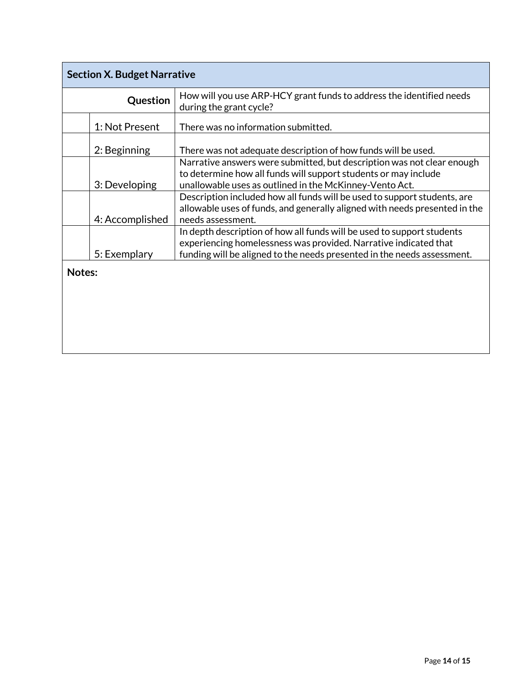| <b>Section X. Budget Narrative</b> |                                                                                                                                                                                                                       |  |  |
|------------------------------------|-----------------------------------------------------------------------------------------------------------------------------------------------------------------------------------------------------------------------|--|--|
| Question                           | How will you use ARP-HCY grant funds to address the identified needs<br>during the grant cycle?                                                                                                                       |  |  |
| 1: Not Present                     | There was no information submitted.                                                                                                                                                                                   |  |  |
| 2: Beginning                       | There was not adequate description of how funds will be used.                                                                                                                                                         |  |  |
| 3: Developing                      | Narrative answers were submitted, but description was not clear enough<br>to determine how all funds will support students or may include<br>unallowable uses as outlined in the McKinney-Vento Act.                  |  |  |
| 4: Accomplished                    | Description included how all funds will be used to support students, are<br>allowable uses of funds, and generally aligned with needs presented in the<br>needs assessment.                                           |  |  |
| 5: Exemplary                       | In depth description of how all funds will be used to support students<br>experiencing homelessness was provided. Narrative indicated that<br>funding will be aligned to the needs presented in the needs assessment. |  |  |
| Notes:                             |                                                                                                                                                                                                                       |  |  |
|                                    |                                                                                                                                                                                                                       |  |  |
|                                    |                                                                                                                                                                                                                       |  |  |
|                                    |                                                                                                                                                                                                                       |  |  |